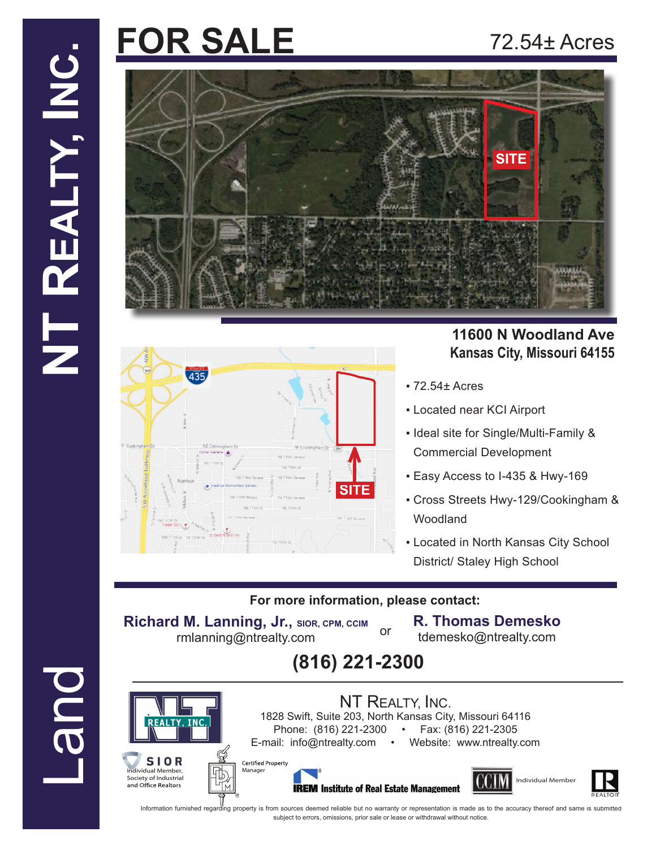# **FOR SALE**

## 72.54± Acres





#### **11600 N Woodland Ave Kansas City, Missouri 64155**

- 72.54± Acres
- Located near KCI Airport
- Ideal site for Single/Multi-Family & Commercial Development
- Easy Access to I-435 & Hwy-169
- Cross Streets Hwy-129/Cookingham & Woodland
- **.** Located in North Kansas City School District/ Staley High School

#### **For more information, please contact:**

or

**Richard M. Lanning, Jr., SIOR, CPM, CCIM** rmlanning@ntrealty.com

anager

Certified Property

**R. Thomas Demesko**

tdemesko@ntrealty.com





**Due-**

SIOR Individual Member, Society of Industrial<br>and Office Realtors







Information furnished regarding property is from sources deemed reliable but no warranty or representation is made as to the accuracy thereof and same is submitted subject to errors, omissions, prior sale or lease or withdrawal without notice.

NT REALTY, INC. 1828 Swift, Suite 203, North Kansas City, Missouri 64116 Phone: (816) 221-2300 • Fax: (816) 221-2305 E-mail: info@ntrealty.com • Website: www.ntrealty.com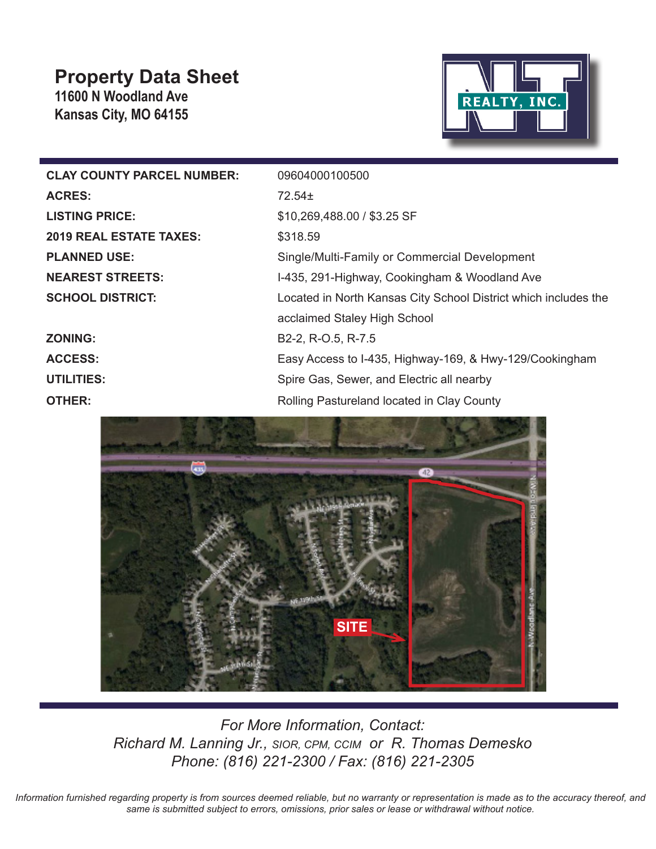## **Property Data Sheet**

**11600 N Woodland Ave Kansas City, MO 64155**



| <b>CLAY COUNTY PARCEL NUMBER:</b> | 09604000100500                                                  |
|-----------------------------------|-----------------------------------------------------------------|
| <b>ACRES:</b>                     | 72.54±                                                          |
| <b>LISTING PRICE:</b>             | \$10,269,488.00 / \$3.25 SF                                     |
| <b>2019 REAL ESTATE TAXES:</b>    | \$318.59                                                        |
| <b>PLANNED USE:</b>               | Single/Multi-Family or Commercial Development                   |
| <b>NEAREST STREETS:</b>           | I-435, 291-Highway, Cookingham & Woodland Ave                   |
| <b>SCHOOL DISTRICT:</b>           | Located in North Kansas City School District which includes the |
|                                   | acclaimed Staley High School                                    |
| <b>ZONING:</b>                    | B2-2, R-O.5, R-7.5                                              |
| <b>ACCESS:</b>                    | Easy Access to I-435, Highway-169, & Hwy-129/Cookingham         |
| <b>UTILITIES:</b>                 | Spire Gas, Sewer, and Electric all nearby                       |
| <b>OTHER:</b>                     | Rolling Pastureland located in Clay County                      |



*For More Information, Contact: Richard M. Lanning Jr., SIOR, CPM, CCIM or R. Thomas Demesko Phone: (816) 221-2300 / Fax: (816) 221-2305* 

*Information furnished regarding property is from sources deemed reliable, but no warranty or representation is made as to the accuracy thereof, and same is submitted subject to errors, omissions, prior sales or lease or withdrawal without notice.*